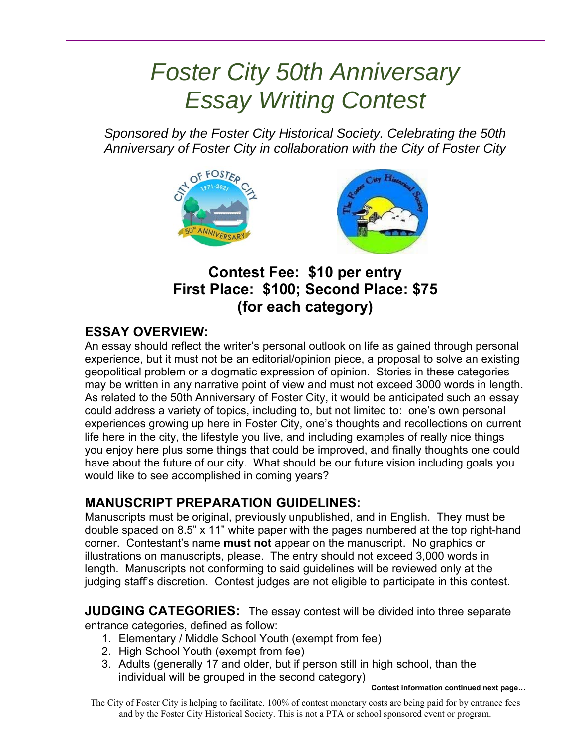# *Foster City 50th Anniversary Essay Writing Contest*

*Sponsored by the Foster City Historical Society. Celebrating the 50th Anniversary of Foster City in collaboration with the City of Foster City* 



**Contest Fee: \$10 per entry First Place: \$100; Second Place: \$75 (for each category)** 

## **ESSAY OVERVIEW:**

An essay should reflect the writer's personal outlook on life as gained through personal experience, but it must not be an editorial/opinion piece, a proposal to solve an existing geopolitical problem or a dogmatic expression of opinion. Stories in these categories may be written in any narrative point of view and must not exceed 3000 words in length. As related to the 50th Anniversary of Foster City, it would be anticipated such an essay could address a variety of topics, including to, but not limited to: one's own personal experiences growing up here in Foster City, one's thoughts and recollections on current life here in the city, the lifestyle you live, and including examples of really nice things you enjoy here plus some things that could be improved, and finally thoughts one could have about the future of our city. What should be our future vision including goals you would like to see accomplished in coming years?

### **MANUSCRIPT PREPARATION GUIDELINES:**

Manuscripts must be original, previously unpublished, and in English. They must be double spaced on 8.5" x 11" white paper with the pages numbered at the top right-hand corner. Contestant's name **must not** appear on the manuscript. No graphics or illustrations on manuscripts, please. The entry should not exceed 3,000 words in length. Manuscripts not conforming to said guidelines will be reviewed only at the judging staff's discretion. Contest judges are not eligible to participate in this contest.

**JUDGING CATEGORIES:** The essay contest will be divided into three separate entrance categories, defined as follow:

- 1. Elementary / Middle School Youth (exempt from fee)
- 2. High School Youth (exempt from fee)
- 3. Adults (generally 17 and older, but if person still in high school, than the individual will be grouped in the second category)

**Contest information continued next page…** 

The City of Foster City is helping to facilitate. 100% of contest monetary costs are being paid for by entrance fees and by the Foster City Historical Society. This is not a PTA or school sponsored event or program.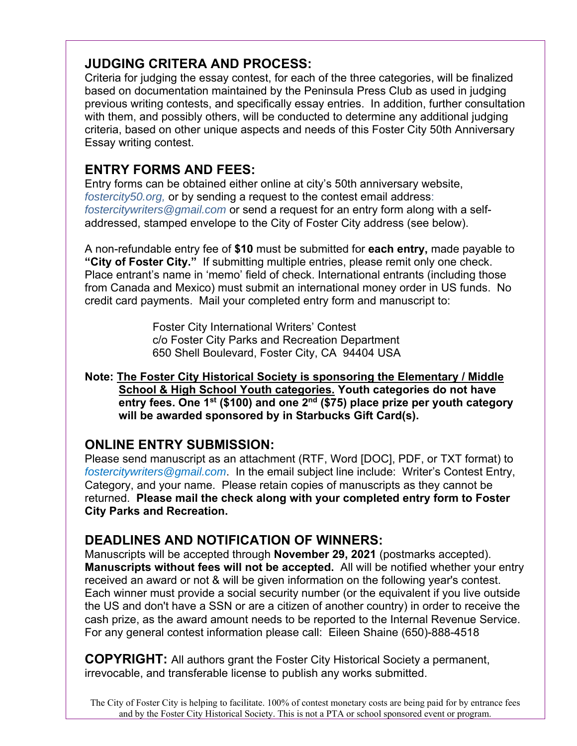### **JUDGING CRITERA AND PROCESS:**

Criteria for judging the essay contest, for each of the three categories, will be finalized based on documentation maintained by the Peninsula Press Club as used in judging previous writing contests, and specifically essay entries. In addition, further consultation with them, and possibly others, will be conducted to determine any additional judging criteria, based on other unique aspects and needs of this Foster City 50th Anniversary Essay writing contest.

## **ENTRY FORMS AND FEES:**

Entry forms can be obtained either online at city's 50th anniversary website, *fostercity50.org,* or by sending a request to the contest email address: *fostercitywriters@gmail.com* or send a request for an entry form along with a selfaddressed, stamped envelope to the City of Foster City address (see below).

A non-refundable entry fee of **\$10** must be submitted for **each entry,** made payable to **"City of Foster City."** If submitting multiple entries, please remit only one check. Place entrant's name in 'memo' field of check. International entrants (including those from Canada and Mexico) must submit an international money order in US funds. No credit card payments. Mail your completed entry form and manuscript to:

> Foster City International Writers' Contest c/o Foster City Parks and Recreation Department 650 Shell Boulevard, Foster City, CA 94404 USA

**Note: The Foster City Historical Society is sponsoring the Elementary / Middle School & High School Youth categories. Youth categories do not have**  entry fees. One 1<sup>st</sup> (\$100) and one 2<sup>nd</sup> (\$75) place prize per youth category **will be awarded sponsored by in Starbucks Gift Card(s).** 

### **ONLINE ENTRY SUBMISSION:**

Please send manuscript as an attachment (RTF, Word [DOC], PDF, or TXT format) to *fostercitywriters@gmail.com*. In the email subject line include: Writer's Contest Entry, Category, and your name. Please retain copies of manuscripts as they cannot be returned. **Please mail the check along with your completed entry form to Foster City Parks and Recreation.**

## **DEADLINES AND NOTIFICATION OF WINNERS:**

Manuscripts will be accepted through **November 29, 2021** (postmarks accepted). **Manuscripts without fees will not be accepted.** All will be notified whether your entry received an award or not & will be given information on the following year's contest. Each winner must provide a social security number (or the equivalent if you live outside the US and don't have a SSN or are a citizen of another country) in order to receive the cash prize, as the award amount needs to be reported to the Internal Revenue Service. For any general contest information please call: Eileen Shaine (650)-888-4518

**COPYRIGHT:** All authors grant the Foster City Historical Society a permanent, irrevocable, and transferable license to publish any works submitted.